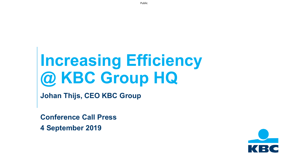# **Increasing Efficiency @ KBC Group HQ**

**Johan Thijs, CEO KBC Group**

**Conference Call Press** 

**4 September 2019** 

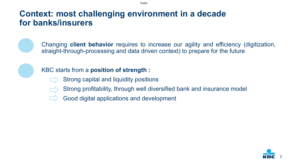# **Context: most challenging environment in a decade for banks/insurers**



Changing **client behavior** requires to increase our agility and efficiency (digitization, straight-through-processing and data driven context) to prepare for the future



#### KBC starts from a **position of strength :**

- Strong capital and liquidity positions
- Strong profitability, through well diversified bank and insurance model
- Good digital applications and development

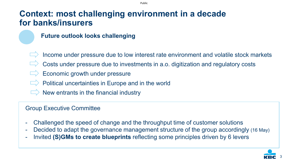# **Context: most challenging environment in a decade for banks/insurers**

#### **Future outlook looks challenging**

- Income under pressure due to low interest rate environment and volatile stock markets
- Costs under pressure due to investments in a.o. digitization and regulatory costs
- Economic growth under pressure
- Political uncertainties in Europe and in the world
- New entrants in the financial industry

#### Group Executive Committee

- Challenged the speed of change and the throughput time of customer solutions
- Decided to adapt the governance management structure of the group accordingly (16 May)
- Invited **(S)GMs to create blueprints** reflecting some principles driven by 6 levers

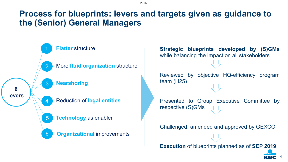**Process for blueprints: levers and targets given as guidance to the (Senior) General Managers**

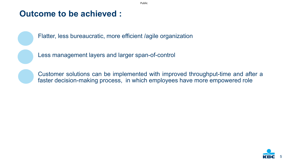### **Outcome to be achieved :**



Flatter, less bureaucratic, more efficient /agile organization

Less management layers and larger span-of-control



Customer solutions can be implemented with improved throughput-time and after a faster decision-making process, in which employees have more empowered role



Public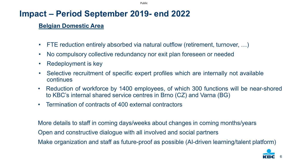Public

# **Impact – Period September 2019- end 2022**

#### **Belgian Domestic Area**

- FTE reduction entirely absorbed via natural outflow (retirement, turnover, ...)
- No compulsory collective redundancy nor exit plan foreseen or needed
- Redeployment is key
- Selective recruitment of specific expert profiles which are internally not available continues
- Reduction of workforce by 1400 employees, of which 300 functions will be near-shored to KBC's internal shared service centres in Brno (CZ) and Varna (BG)
- Termination of contracts of 400 external contractors

More details to staff in coming days/weeks about changes in coming months/years Open and constructive dialogue with all involved and social partners Make organization and staff as future-proof as possible (AI-driven learning/talent platform)



6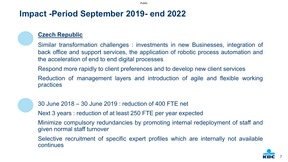## **Impact -Period September 2019- end 2022**

#### **Czech Republic**

Similar transformation challenges : investments in new Businesses, integration of back office and support services, the application of robotic process automation and the acceleration of end to end digital processes

Respond more rapidly to client preferences and to develop new client services

Reduction of management layers and introduction of agile and flexible working practices



30 June 2018 – 30 June 2019 : reduction of 400 FTE net

Next 3 years : reduction of at least 250 FTE per year expected

Minimize compulsory redundancies by promoting internal redeployment of staff and given normal staff turnover

Selective recruitment of specific expert profiles which are internally not available continues



7